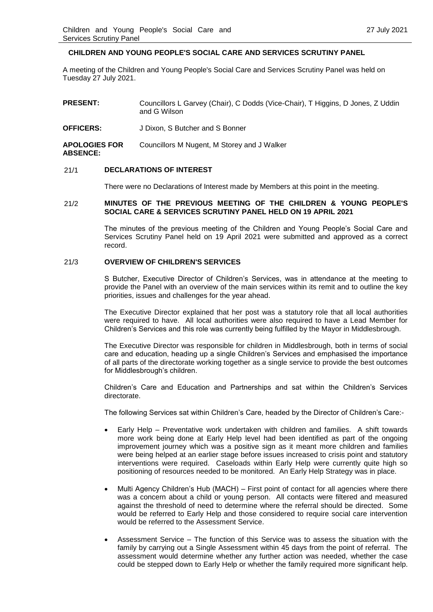# **CHILDREN AND YOUNG PEOPLE'S SOCIAL CARE AND SERVICES SCRUTINY PANEL**

A meeting of the Children and Young People's Social Care and Services Scrutiny Panel was held on Tuesday 27 July 2021.

| <b>PRESENT:</b>                         | Councillors L Garvey (Chair), C Dodds (Vice-Chair), T Higgins, D Jones, Z Uddin<br>and G Wilson |
|-----------------------------------------|-------------------------------------------------------------------------------------------------|
| <b>OFFICERS:</b>                        | J Dixon, S Butcher and S Bonner                                                                 |
| <b>APOLOGIES FOR</b><br><b>ABSENCE:</b> | Councillors M Nugent, M Storey and J Walker                                                     |

### 21/1 **DECLARATIONS OF INTEREST**

There were no Declarations of Interest made by Members at this point in the meeting.

### 21/2 **MINUTES OF THE PREVIOUS MEETING OF THE CHILDREN & YOUNG PEOPLE'S SOCIAL CARE & SERVICES SCRUTINY PANEL HELD ON 19 APRIL 2021**

The minutes of the previous meeting of the Children and Young People's Social Care and Services Scrutiny Panel held on 19 April 2021 were submitted and approved as a correct record.

# 21/3 **OVERVIEW OF CHILDREN'S SERVICES**

S Butcher, Executive Director of Children's Services, was in attendance at the meeting to provide the Panel with an overview of the main services within its remit and to outline the key priorities, issues and challenges for the year ahead.

The Executive Director explained that her post was a statutory role that all local authorities were required to have. All local authorities were also required to have a Lead Member for Children's Services and this role was currently being fulfilled by the Mayor in Middlesbrough.

The Executive Director was responsible for children in Middlesbrough, both in terms of social care and education, heading up a single Children's Services and emphasised the importance of all parts of the directorate working together as a single service to provide the best outcomes for Middlesbrough's children.

Children's Care and Education and Partnerships and sat within the Children's Services directorate.

The following Services sat within Children's Care, headed by the Director of Children's Care:-

- Early Help Preventative work undertaken with children and families. A shift towards more work being done at Early Help level had been identified as part of the ongoing improvement journey which was a positive sign as it meant more children and families were being helped at an earlier stage before issues increased to crisis point and statutory interventions were required. Caseloads within Early Help were currently quite high so positioning of resources needed to be monitored. An Early Help Strategy was in place.
- Multi Agency Children's Hub (MACH) First point of contact for all agencies where there was a concern about a child or young person. All contacts were filtered and measured against the threshold of need to determine where the referral should be directed. Some would be referred to Early Help and those considered to require social care intervention would be referred to the Assessment Service.
- Assessment Service The function of this Service was to assess the situation with the family by carrying out a Single Assessment within 45 days from the point of referral. The assessment would determine whether any further action was needed, whether the case could be stepped down to Early Help or whether the family required more significant help.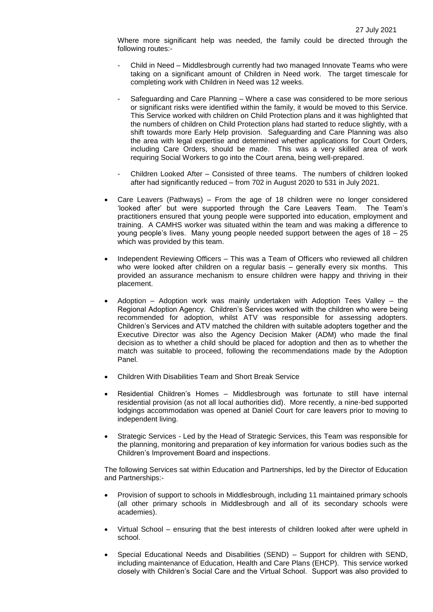Where more significant help was needed, the family could be directed through the following routes:-

- Child in Need Middlesbrough currently had two managed Innovate Teams who were taking on a significant amount of Children in Need work. The target timescale for completing work with Children in Need was 12 weeks.
- Safeguarding and Care Planning Where a case was considered to be more serious or significant risks were identified within the family, it would be moved to this Service. This Service worked with children on Child Protection plans and it was highlighted that the numbers of children on Child Protection plans had started to reduce slightly, with a shift towards more Early Help provision. Safeguarding and Care Planning was also the area with legal expertise and determined whether applications for Court Orders, including Care Orders, should be made. This was a very skilled area of work requiring Social Workers to go into the Court arena, being well-prepared.
- Children Looked After Consisted of three teams. The numbers of children looked after had significantly reduced – from 702 in August 2020 to 531 in July 2021.
- Care Leavers (Pathways) From the age of 18 children were no longer considered 'looked after' but were supported through the Care Leavers Team. The Team's practitioners ensured that young people were supported into education, employment and training. A CAMHS worker was situated within the team and was making a difference to young people's lives. Many young people needed support between the ages of 18 – 25 which was provided by this team.
- Independent Reviewing Officers This was a Team of Officers who reviewed all children who were looked after children on a regular basis – generally every six months. This provided an assurance mechanism to ensure children were happy and thriving in their placement.
- Adoption Adoption work was mainly undertaken with Adoption Tees Valley the Regional Adoption Agency. Children's Services worked with the children who were being recommended for adoption, whilst ATV was responsible for assessing adopters. Children's Services and ATV matched the children with suitable adopters together and the Executive Director was also the Agency Decision Maker (ADM) who made the final decision as to whether a child should be placed for adoption and then as to whether the match was suitable to proceed, following the recommendations made by the Adoption Panel.
- Children With Disabilities Team and Short Break Service
- Residential Children's Homes Middlesbrough was fortunate to still have internal residential provision (as not all local authorities did). More recently, a nine-bed supported lodgings accommodation was opened at Daniel Court for care leavers prior to moving to independent living.
- Strategic Services Led by the Head of Strategic Services, this Team was responsible for the planning, monitoring and preparation of key information for various bodies such as the Children's Improvement Board and inspections.

The following Services sat within Education and Partnerships, led by the Director of Education and Partnerships:-

- Provision of support to schools in Middlesbrough, including 11 maintained primary schools (all other primary schools in Middlesbrough and all of its secondary schools were academies).
- Virtual School ensuring that the best interests of children looked after were upheld in school.
- Special Educational Needs and Disabilities (SEND) Support for children with SEND, including maintenance of Education, Health and Care Plans (EHCP). This service worked closely with Children's Social Care and the Virtual School. Support was also provided to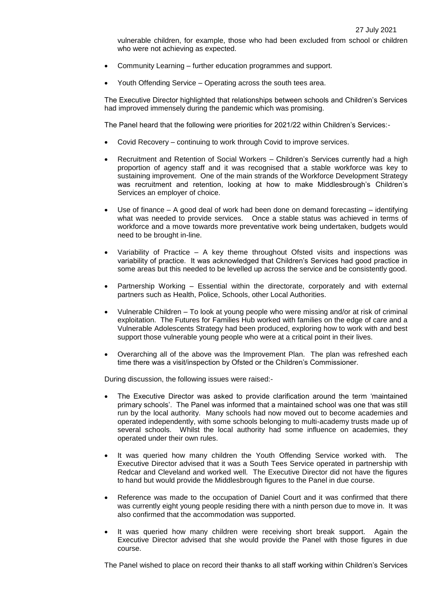vulnerable children, for example, those who had been excluded from school or children who were not achieving as expected.

- Community Learning further education programmes and support.
- Youth Offending Service Operating across the south tees area.

The Executive Director highlighted that relationships between schools and Children's Services had improved immensely during the pandemic which was promising.

The Panel heard that the following were priorities for 2021/22 within Children's Services:-

- Covid Recovery continuing to work through Covid to improve services.
- Recruitment and Retention of Social Workers Children's Services currently had a high proportion of agency staff and it was recognised that a stable workforce was key to sustaining improvement. One of the main strands of the Workforce Development Strategy was recruitment and retention, looking at how to make Middlesbrough's Children's Services an employer of choice.
- Use of finance A good deal of work had been done on demand forecasting identifying what was needed to provide services. Once a stable status was achieved in terms of workforce and a move towards more preventative work being undertaken, budgets would need to be brought in-line.
- Variability of Practice A key theme throughout Ofsted visits and inspections was variability of practice. It was acknowledged that Children's Services had good practice in some areas but this needed to be levelled up across the service and be consistently good.
- Partnership Working Essential within the directorate, corporately and with external partners such as Health, Police, Schools, other Local Authorities.
- Vulnerable Children To look at young people who were missing and/or at risk of criminal exploitation. The Futures for Families Hub worked with families on the edge of care and a Vulnerable Adolescents Strategy had been produced, exploring how to work with and best support those vulnerable young people who were at a critical point in their lives.
- Overarching all of the above was the Improvement Plan. The plan was refreshed each time there was a visit/inspection by Ofsted or the Children's Commissioner.

During discussion, the following issues were raised:-

- The Executive Director was asked to provide clarification around the term 'maintained primary schools'. The Panel was informed that a maintained school was one that was still run by the local authority. Many schools had now moved out to become academies and operated independently, with some schools belonging to multi-academy trusts made up of several schools. Whilst the local authority had some influence on academies, they operated under their own rules.
- It was queried how many children the Youth Offending Service worked with. The Executive Director advised that it was a South Tees Service operated in partnership with Redcar and Cleveland and worked well. The Executive Director did not have the figures to hand but would provide the Middlesbrough figures to the Panel in due course.
- Reference was made to the occupation of Daniel Court and it was confirmed that there was currently eight young people residing there with a ninth person due to move in. It was also confirmed that the accommodation was supported.
- It was queried how many children were receiving short break support. Again the Executive Director advised that she would provide the Panel with those figures in due course.

The Panel wished to place on record their thanks to all staff working within Children's Services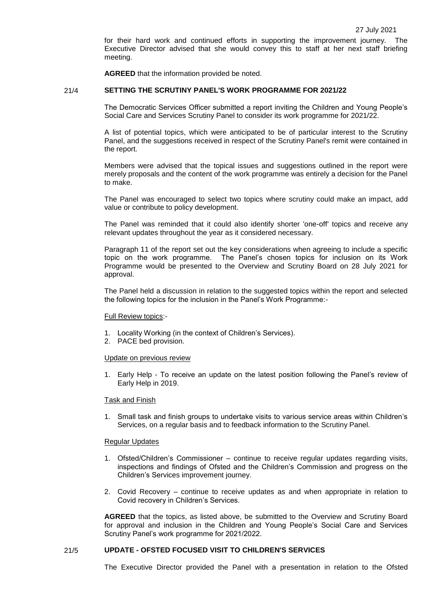for their hard work and continued efforts in supporting the improvement journey. The Executive Director advised that she would convey this to staff at her next staff briefing meeting.

**AGREED** that the information provided be noted.

### 21/4 **SETTING THE SCRUTINY PANEL'S WORK PROGRAMME FOR 2021/22**

The Democratic Services Officer submitted a report inviting the Children and Young People's Social Care and Services Scrutiny Panel to consider its work programme for 2021/22.

A list of potential topics, which were anticipated to be of particular interest to the Scrutiny Panel, and the suggestions received in respect of the Scrutiny Panel's remit were contained in the report.

Members were advised that the topical issues and suggestions outlined in the report were merely proposals and the content of the work programme was entirely a decision for the Panel to make.

The Panel was encouraged to select two topics where scrutiny could make an impact, add value or contribute to policy development.

The Panel was reminded that it could also identify shorter 'one-off' topics and receive any relevant updates throughout the year as it considered necessary.

Paragraph 11 of the report set out the key considerations when agreeing to include a specific topic on the work programme. The Panel's chosen topics for inclusion on its Work Programme would be presented to the Overview and Scrutiny Board on 28 July 2021 for approval.

The Panel held a discussion in relation to the suggested topics within the report and selected the following topics for the inclusion in the Panel's Work Programme:-

### Full Review topics:-

- 1. Locality Working (in the context of Children's Services).
- 2. PACE bed provision.

#### Update on previous review

1. Early Help - To receive an update on the latest position following the Panel's review of Early Help in 2019.

#### Task and Finish

1. Small task and finish groups to undertake visits to various service areas within Children's Services, on a regular basis and to feedback information to the Scrutiny Panel.

### Regular Updates

- 1. Ofsted/Children's Commissioner continue to receive regular updates regarding visits, inspections and findings of Ofsted and the Children's Commission and progress on the Children's Services improvement journey.
- 2. Covid Recovery continue to receive updates as and when appropriate in relation to Covid recovery in Children's Services.

**AGREED** that the topics, as listed above, be submitted to the Overview and Scrutiny Board for approval and inclusion in the Children and Young People's Social Care and Services Scrutiny Panel's work programme for 2021/2022.

# 21/5 **UPDATE - OFSTED FOCUSED VISIT TO CHILDREN'S SERVICES**

The Executive Director provided the Panel with a presentation in relation to the Ofsted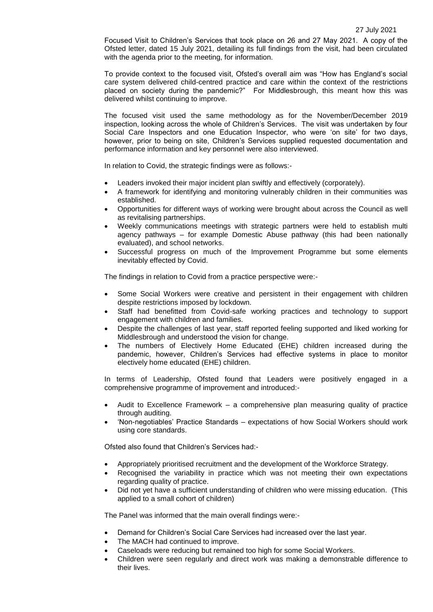Focused Visit to Children's Services that took place on 26 and 27 May 2021. A copy of the Ofsted letter, dated 15 July 2021, detailing its full findings from the visit, had been circulated with the agenda prior to the meeting, for information.

To provide context to the focused visit, Ofsted's overall aim was "How has England's social care system delivered child-centred practice and care within the context of the restrictions placed on society during the pandemic?" For Middlesbrough, this meant how this was delivered whilst continuing to improve.

The focused visit used the same methodology as for the November/December 2019 inspection, looking across the whole of Children's Services. The visit was undertaken by four Social Care Inspectors and one Education Inspector, who were 'on site' for two days, however, prior to being on site, Children's Services supplied requested documentation and performance information and key personnel were also interviewed.

In relation to Covid, the strategic findings were as follows:-

- Leaders invoked their major incident plan swiftly and effectively (corporately).
- A framework for identifying and monitoring vulnerably children in their communities was established.
- Opportunities for different ways of working were brought about across the Council as well as revitalising partnerships.
- Weekly communications meetings with strategic partners were held to establish multi agency pathways – for example Domestic Abuse pathway (this had been nationally evaluated), and school networks.
- Successful progress on much of the Improvement Programme but some elements inevitably effected by Covid.

The findings in relation to Covid from a practice perspective were:-

- Some Social Workers were creative and persistent in their engagement with children despite restrictions imposed by lockdown.
- Staff had benefitted from Covid-safe working practices and technology to support engagement with children and families.
- Despite the challenges of last year, staff reported feeling supported and liked working for Middlesbrough and understood the vision for change.
- The numbers of Electively Home Educated (EHE) children increased during the pandemic, however, Children's Services had effective systems in place to monitor electively home educated (EHE) children.

In terms of Leadership, Ofsted found that Leaders were positively engaged in a comprehensive programme of improvement and introduced:-

- Audit to Excellence Framework a comprehensive plan measuring quality of practice through auditing.
- 'Non-negotiables' Practice Standards expectations of how Social Workers should work using core standards.

Ofsted also found that Children's Services had:-

- Appropriately prioritised recruitment and the development of the Workforce Strategy.
- Recognised the variability in practice which was not meeting their own expectations regarding quality of practice.
- Did not yet have a sufficient understanding of children who were missing education. (This applied to a small cohort of children)

The Panel was informed that the main overall findings were:-

- Demand for Children's Social Care Services had increased over the last year.
- The MACH had continued to improve.
- Caseloads were reducing but remained too high for some Social Workers.
- Children were seen regularly and direct work was making a demonstrable difference to their lives.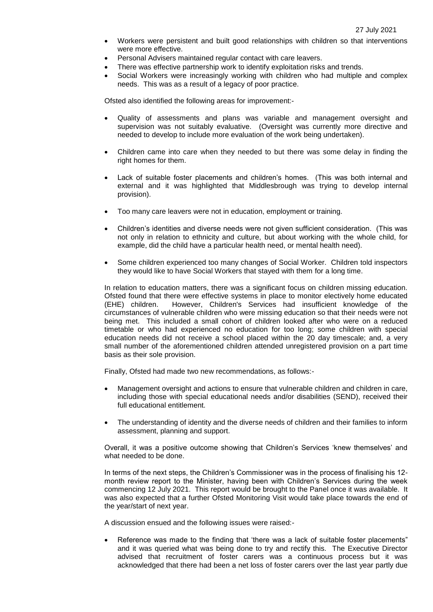- Workers were persistent and built good relationships with children so that interventions were more effective.
- Personal Advisers maintained regular contact with care leavers.
- There was effective partnership work to identify exploitation risks and trends.
- Social Workers were increasingly working with children who had multiple and complex needs. This was as a result of a legacy of poor practice.

Ofsted also identified the following areas for improvement:-

- Quality of assessments and plans was variable and management oversight and supervision was not suitably evaluative. (Oversight was currently more directive and needed to develop to include more evaluation of the work being undertaken).
- Children came into care when they needed to but there was some delay in finding the right homes for them.
- Lack of suitable foster placements and children's homes. (This was both internal and external and it was highlighted that Middlesbrough was trying to develop internal provision).
- Too many care leavers were not in education, employment or training.
- Children's identities and diverse needs were not given sufficient consideration. (This was not only in relation to ethnicity and culture, but about working with the whole child, for example, did the child have a particular health need, or mental health need).
- Some children experienced too many changes of Social Worker. Children told inspectors they would like to have Social Workers that stayed with them for a long time.

In relation to education matters, there was a significant focus on children missing education. Ofsted found that there were effective systems in place to monitor electively home educated (EHE) children. However, Children's Services had insufficient knowledge of the circumstances of vulnerable children who were missing education so that their needs were not being met. This included a small cohort of children looked after who were on a reduced timetable or who had experienced no education for too long; some children with special education needs did not receive a school placed within the 20 day timescale; and, a very small number of the aforementioned children attended unregistered provision on a part time basis as their sole provision.

Finally, Ofsted had made two new recommendations, as follows:-

- Management oversight and actions to ensure that vulnerable children and children in care, including those with special educational needs and/or disabilities (SEND), received their full educational entitlement.
- The understanding of identity and the diverse needs of children and their families to inform assessment, planning and support.

Overall, it was a positive outcome showing that Children's Services 'knew themselves' and what needed to be done.

In terms of the next steps, the Children's Commissioner was in the process of finalising his 12 month review report to the Minister, having been with Children's Services during the week commencing 12 July 2021. This report would be brought to the Panel once it was available. It was also expected that a further Ofsted Monitoring Visit would take place towards the end of the year/start of next year.

A discussion ensued and the following issues were raised:-

 Reference was made to the finding that 'there was a lack of suitable foster placements" and it was queried what was being done to try and rectify this. The Executive Director advised that recruitment of foster carers was a continuous process but it was acknowledged that there had been a net loss of foster carers over the last year partly due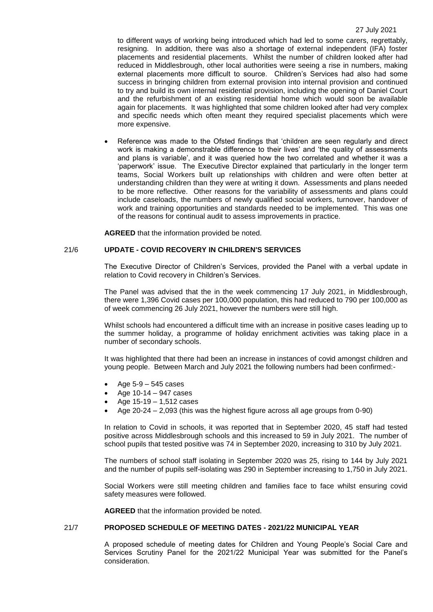to different ways of working being introduced which had led to some carers, regrettably, resigning. In addition, there was also a shortage of external independent (IFA) foster placements and residential placements. Whilst the number of children looked after had reduced in Middlesbrough, other local authorities were seeing a rise in numbers, making external placements more difficult to source. Children's Services had also had some success in bringing children from external provision into internal provision and continued to try and build its own internal residential provision, including the opening of Daniel Court and the refurbishment of an existing residential home which would soon be available again for placements. It was highlighted that some children looked after had very complex and specific needs which often meant they required specialist placements which were more expensive.

 Reference was made to the Ofsted findings that 'children are seen regularly and direct work is making a demonstrable difference to their lives' and 'the quality of assessments and plans is variable', and it was queried how the two correlated and whether it was a 'paperwork' issue. The Executive Director explained that particularly in the longer term teams, Social Workers built up relationships with children and were often better at understanding children than they were at writing it down. Assessments and plans needed to be more reflective. Other reasons for the variability of assessments and plans could include caseloads, the numbers of newly qualified social workers, turnover, handover of work and training opportunities and standards needed to be implemented. This was one of the reasons for continual audit to assess improvements in practice.

**AGREED** that the information provided be noted.

# 21/6 **UPDATE - COVID RECOVERY IN CHILDREN'S SERVICES**

The Executive Director of Children's Services, provided the Panel with a verbal update in relation to Covid recovery in Children's Services.

The Panel was advised that the in the week commencing 17 July 2021, in Middlesbrough, there were 1,396 Covid cases per 100,000 population, this had reduced to 790 per 100,000 as of week commencing 26 July 2021, however the numbers were still high.

Whilst schools had encountered a difficult time with an increase in positive cases leading up to the summer holiday, a programme of holiday enrichment activities was taking place in a number of secondary schools.

It was highlighted that there had been an increase in instances of covid amongst children and young people. Between March and July 2021 the following numbers had been confirmed:-

- Age 5-9 545 cases
- Age 10-14 947 cases
- Age 15-19 1,512 cases
- Age 20-24 2,093 (this was the highest figure across all age groups from 0-90)

In relation to Covid in schools, it was reported that in September 2020, 45 staff had tested positive across Middlesbrough schools and this increased to 59 in July 2021. The number of school pupils that tested positive was 74 in September 2020, increasing to 310 by July 2021.

The numbers of school staff isolating in September 2020 was 25, rising to 144 by July 2021 and the number of pupils self-isolating was 290 in September increasing to 1,750 in July 2021.

Social Workers were still meeting children and families face to face whilst ensuring covid safety measures were followed.

**AGREED** that the information provided be noted.

# 21/7 **PROPOSED SCHEDULE OF MEETING DATES - 2021/22 MUNICIPAL YEAR**

A proposed schedule of meeting dates for Children and Young People's Social Care and Services Scrutiny Panel for the 2021/22 Municipal Year was submitted for the Panel's consideration.